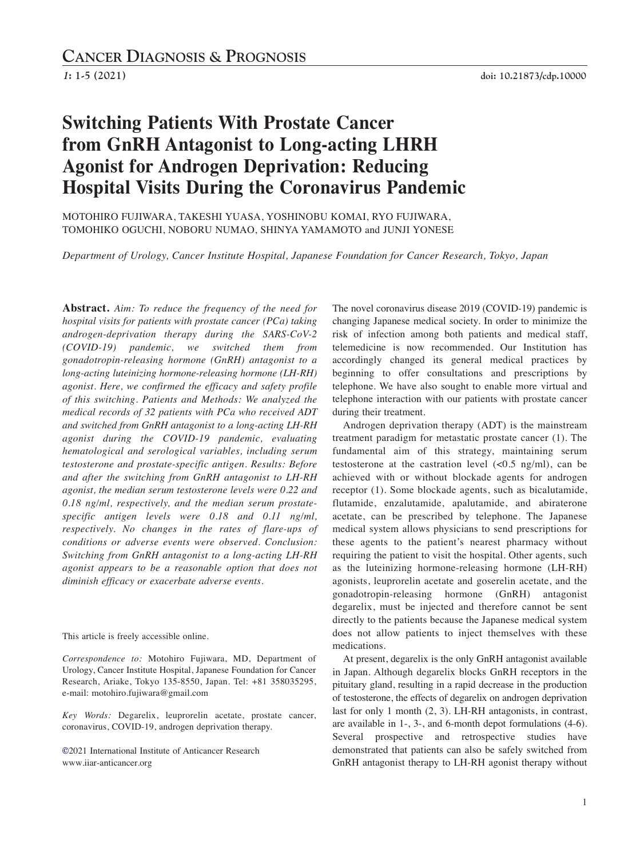# **Switching Patients With Prostate Cancer from GnRH Antagonist to Long-acting LHRH Agonist for Androgen Deprivation: Reducing Hospital Visits During the Coronavirus Pandemic**

MOTOHIRO FUJIWARA, TAKESHI YUASA, YOSHINOBU KOMAI, RYO FUJIWARA, TOMOHIKO OGUCHI, NOBORU NUMAO, SHINYA YAMAMOTO and JUNJI YONESE

*Department of Urology, Cancer Institute Hospital, Japanese Foundation for Cancer Research, Tokyo, Japan*

**Abstract.** *Aim: To reduce the frequency of the need for hospital visits for patients with prostate cancer (PCa) taking androgen-deprivation therapy during the SARS-CoV-2 (COVID-19) pandemic, we switched them from gonadotropin-releasing hormone (GnRH) antagonist to a long-acting luteinizing hormone-releasing hormone (LH-RH) agonist. Here, we confirmed the efficacy and safety profile of this switching. Patients and Methods: We analyzed the medical records of 32 patients with PCa who received ADT and switched from GnRH antagonist to a long-acting LH-RH agonist during the COVID-19 pandemic, evaluating hematological and serological variables, including serum testosterone and prostate-specific antigen. Results: Before and after the switching from GnRH antagonist to LH-RH agonist, the median serum testosterone levels were 0.22 and 0.18 ng/ml, respectively, and the median serum prostatespecific antigen levels were 0.18 and 0.11 ng/ml, respectively. No changes in the rates of flare-ups of conditions or adverse events were observed. Conclusion: Switching from GnRH antagonist to a long-acting LH-RH agonist appears to be a reasonable option that does not diminish efficacy or exacerbate adverse events.*

This article is freely accessible online.

*Correspondence to:* Motohiro Fujiwara, MD, Department of Urology, Cancer Institute Hospital, Japanese Foundation for Cancer Research, Ariake, Tokyo 135-8550, Japan. Tel: +81 358035295, e-mail: motohiro.fujiwara@gmail.com

*Key Words:* Degarelix, leuprorelin acetate, prostate cancer, coronavirus, COVID-19, androgen deprivation therapy.

**©**2021 International Institute of Anticancer Research www.iiar-anticancer.org

The novel coronavirus disease 2019 (COVID-19) pandemic is changing Japanese medical society. In order to minimize the risk of infection among both patients and medical staff, telemedicine is now recommended. Our Institution has accordingly changed its general medical practices by beginning to offer consultations and prescriptions by telephone. We have also sought to enable more virtual and telephone interaction with our patients with prostate cancer during their treatment.

Androgen deprivation therapy (ADT) is the mainstream treatment paradigm for metastatic prostate cancer (1). The fundamental aim of this strategy, maintaining serum testosterone at the castration level  $\langle$ <0.5 ng/ml), can be achieved with or without blockade agents for androgen receptor (1). Some blockade agents, such as bicalutamide, flutamide, enzalutamide, apalutamide, and abiraterone acetate, can be prescribed by telephone. The Japanese medical system allows physicians to send prescriptions for these agents to the patient's nearest pharmacy without requiring the patient to visit the hospital. Other agents, such as the luteinizing hormone-releasing hormone (LH-RH) agonists, leuprorelin acetate and goserelin acetate, and the gonadotropin-releasing hormone (GnRH) antagonist degarelix, must be injected and therefore cannot be sent directly to the patients because the Japanese medical system does not allow patients to inject themselves with these medications.

At present, degarelix is the only GnRH antagonist available in Japan. Although degarelix blocks GnRH receptors in the pituitary gland, resulting in a rapid decrease in the production of testosterone, the effects of degarelix on androgen deprivation last for only 1 month (2, 3). LH-RH antagonists, in contrast, are available in 1-, 3-, and 6-month depot formulations (4-6). Several prospective and retrospective studies have demonstrated that patients can also be safely switched from GnRH antagonist therapy to LH-RH agonist therapy without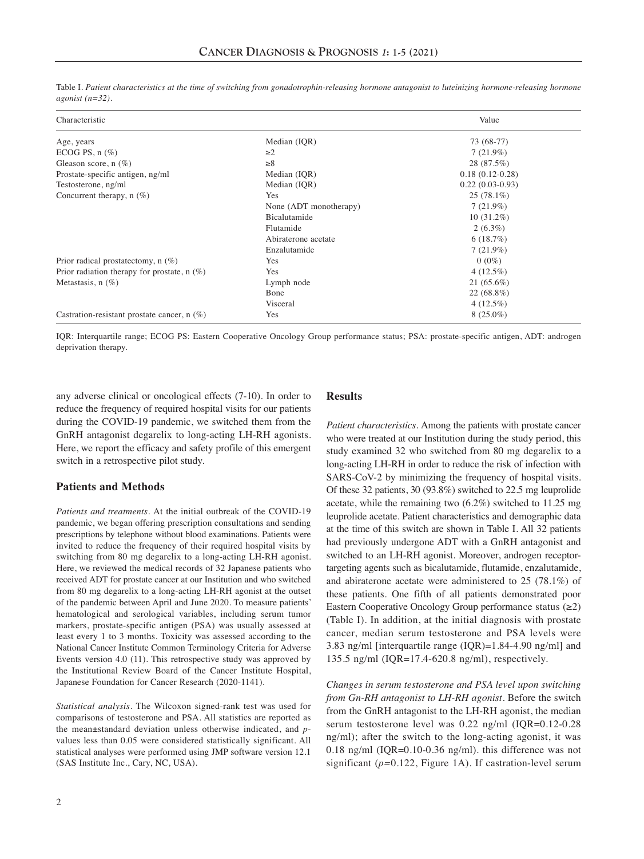| Characteristic                                |                        | Value             |
|-----------------------------------------------|------------------------|-------------------|
| Age, years                                    | Median (IQR)           | 73 (68-77)        |
| ECOG PS, $n$ $(\%)$                           | $\geq$ 2               | $7(21.9\%)$       |
| Gleason score, $n$ (%)                        | $\geq 8$               | 28 (87.5%)        |
| Prostate-specific antigen, ng/ml              | Median (IQR)           | $0.18(0.12-0.28)$ |
| Testosterone, ng/ml                           | Median (IQR)           | $0.22(0.03-0.93)$ |
| Concurrent therapy, $n$ (%)                   | Yes                    | $25(78.1\%)$      |
|                                               | None (ADT monotherapy) | 7(21.9%)          |
|                                               | <b>Bicalutamide</b>    | $10(31.2\%)$      |
|                                               | Flutamide              | $2(6.3\%)$        |
|                                               | Abiraterone acetate    | 6(18.7%)          |
|                                               | Enzalutamide           | $7(21.9\%)$       |
| Prior radical prostatectomy, $n$ (%)          | Yes                    | $0(0\%)$          |
| Prior radiation therapy for prostate, $n$ (%) | Yes                    | $4(12.5\%)$       |
| Metastasis, $n$ (%)                           | Lymph node             | $21(65.6\%)$      |
|                                               | Bone                   | 22 (68.8%)        |
|                                               | Visceral               | $4(12.5\%)$       |
| Castration-resistant prostate cancer, $n$ (%) | Yes                    | $8(25.0\%)$       |

Table I. Patient characteristics at the time of switching from gonadotrophin-releasing hormone antagonist to luteinizing hormone-releasing hormone *agonist (n=32).*

IQR: Interquartile range; ECOG PS: Eastern Cooperative Oncology Group performance status; PSA: prostate-specific antigen, ADT: androgen deprivation therapy.

any adverse clinical or oncological effects (7-10). In order to reduce the frequency of required hospital visits for our patients during the COVID-19 pandemic, we switched them from the GnRH antagonist degarelix to long-acting LH-RH agonists. Here, we report the efficacy and safety profile of this emergent switch in a retrospective pilot study.

## **Patients and Methods**

*Patients and treatments.* At the initial outbreak of the COVID-19 pandemic, we began offering prescription consultations and sending prescriptions by telephone without blood examinations. Patients were invited to reduce the frequency of their required hospital visits by switching from 80 mg degarelix to a long-acting LH-RH agonist. Here, we reviewed the medical records of 32 Japanese patients who received ADT for prostate cancer at our Institution and who switched from 80 mg degarelix to a long-acting LH-RH agonist at the outset of the pandemic between April and June 2020. To measure patients' hematological and serological variables, including serum tumor markers, prostate-specific antigen (PSA) was usually assessed at least every 1 to 3 months. Toxicity was assessed according to the National Cancer Institute Common Terminology Criteria for Adverse Events version 4.0 (11). This retrospective study was approved by the Institutional Review Board of the Cancer Institute Hospital, Japanese Foundation for Cancer Research (2020-1141).

*Statistical analysis.* The Wilcoxon signed-rank test was used for comparisons of testosterone and PSA. All statistics are reported as the mean±standard deviation unless otherwise indicated, and *p*values less than 0.05 were considered statistically significant. All statistical analyses were performed using JMP software version 12.1 (SAS Institute Inc., Cary, NC, USA).

## **Results**

*Patient characteristics.* Among the patients with prostate cancer who were treated at our Institution during the study period, this study examined 32 who switched from 80 mg degarelix to a long-acting LH-RH in order to reduce the risk of infection with SARS-CoV-2 by minimizing the frequency of hospital visits. Of these 32 patients, 30 (93.8%) switched to 22.5 mg leuprolide acetate, while the remaining two (6.2%) switched to 11.25 mg leuprolide acetate. Patient characteristics and demographic data at the time of this switch are shown in Table I. All 32 patients had previously undergone ADT with a GnRH antagonist and switched to an LH-RH agonist. Moreover, androgen receptortargeting agents such as bicalutamide, flutamide, enzalutamide, and abiraterone acetate were administered to 25 (78.1%) of these patients. One fifth of all patients demonstrated poor Eastern Cooperative Oncology Group performance status (≥2) (Table I). In addition, at the initial diagnosis with prostate cancer, median serum testosterone and PSA levels were 3.83 ng/ml [interquartile range (IQR)=1.84-4.90 ng/ml] and 135.5 ng/ml (IQR=17.4-620.8 ng/ml), respectively.

*Changes in serum testosterone and PSA level upon switching from Gn-RH antagonist to LH-RH agonist.* Before the switch from the GnRH antagonist to the LH-RH agonist, the median serum testosterone level was 0.22 ng/ml (IQR=0.12-0.28 ng/ml); after the switch to the long-acting agonist, it was 0.18 ng/ml (IQR=0.10-0.36 ng/ml). this difference was not significant (*p=*0.122, Figure 1A). If castration-level serum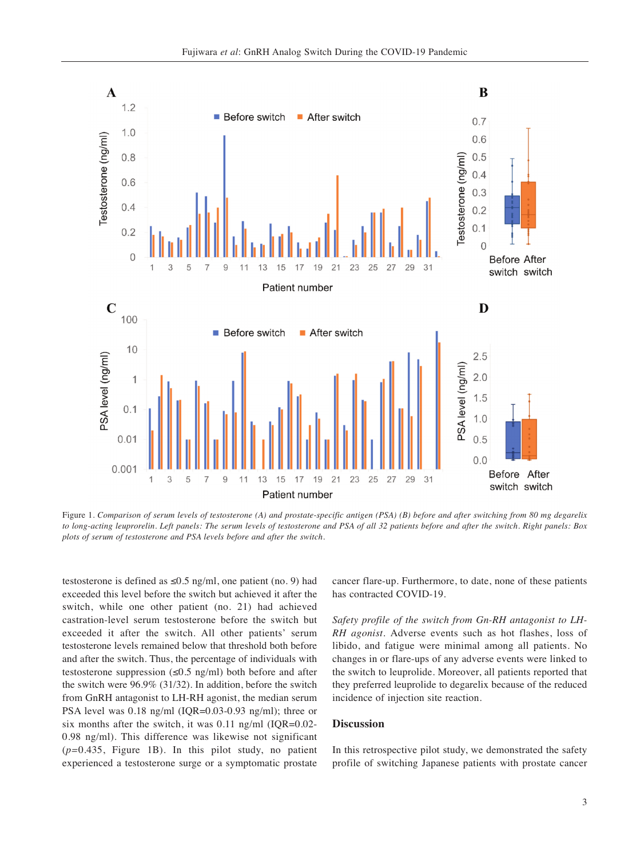

Figure 1. Comparison of serum levels of testosterone (A) and prostate-specific antigen (PSA) (B) before and after switching from 80 mg degarelix to long-acting leuprorelin. Left panels: The serum levels of testosterone and PSA of all 32 patients before and after the switch. Right panels: Box *plots of serum of testosterone and PSA levels before and after the switch.*

testosterone is defined as  $\leq 0.5$  ng/ml, one patient (no. 9) had exceeded this level before the switch but achieved it after the switch, while one other patient (no. 21) had achieved castration-level serum testosterone before the switch but exceeded it after the switch. All other patients' serum testosterone levels remained below that threshold both before and after the switch. Thus, the percentage of individuals with testosterone suppression  $(\leq 0.5 \text{ ng/ml})$  both before and after the switch were 96.9% (31/32). In addition, before the switch from GnRH antagonist to LH-RH agonist, the median serum PSA level was 0.18 ng/ml (IQR=0.03-0.93 ng/ml); three or six months after the switch, it was 0.11 ng/ml (IQR=0.02- 0.98 ng/ml). This difference was likewise not significant (*p=*0.435, Figure 1B). In this pilot study, no patient experienced a testosterone surge or a symptomatic prostate cancer flare-up. Furthermore, to date, none of these patients has contracted COVID-19.

*Safety profile of the switch from Gn-RH antagonist to LH-RH agonist.* Adverse events such as hot flashes, loss of libido, and fatigue were minimal among all patients. No changes in or flare-ups of any adverse events were linked to the switch to leuprolide. Moreover, all patients reported that they preferred leuprolide to degarelix because of the reduced incidence of injection site reaction.

#### **Discussion**

In this retrospective pilot study, we demonstrated the safety profile of switching Japanese patients with prostate cancer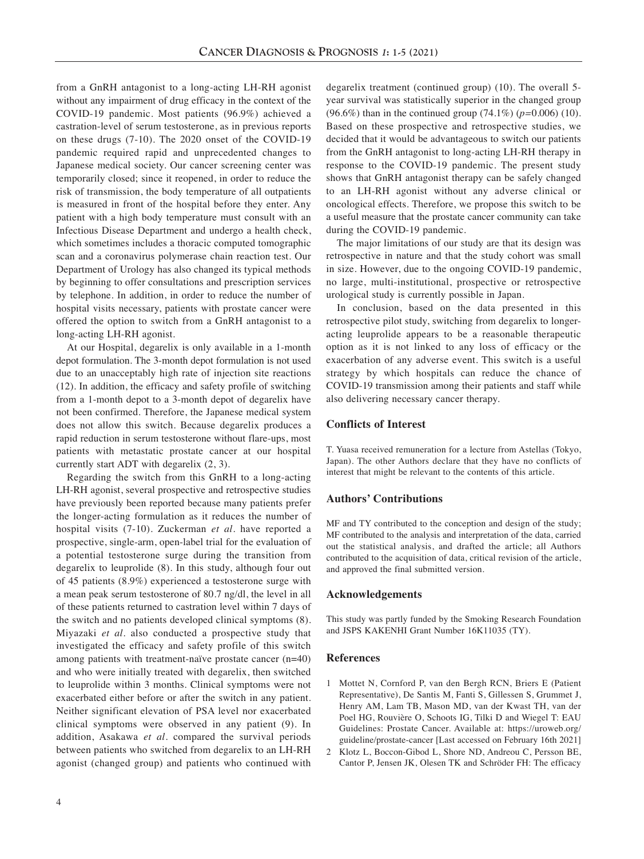from a GnRH antagonist to a long-acting LH-RH agonist without any impairment of drug efficacy in the context of the COVID-19 pandemic. Most patients (96.9%) achieved a castration-level of serum testosterone, as in previous reports on these drugs (7-10). The 2020 onset of the COVID-19 pandemic required rapid and unprecedented changes to Japanese medical society. Our cancer screening center was temporarily closed; since it reopened, in order to reduce the risk of transmission, the body temperature of all outpatients is measured in front of the hospital before they enter. Any patient with a high body temperature must consult with an Infectious Disease Department and undergo a health check, which sometimes includes a thoracic computed tomographic scan and a coronavirus polymerase chain reaction test. Our Department of Urology has also changed its typical methods by beginning to offer consultations and prescription services by telephone. In addition, in order to reduce the number of hospital visits necessary, patients with prostate cancer were offered the option to switch from a GnRH antagonist to a long-acting LH-RH agonist.

At our Hospital, degarelix is only available in a 1-month depot formulation. The 3-month depot formulation is not used due to an unacceptably high rate of injection site reactions (12). In addition, the efficacy and safety profile of switching from a 1-month depot to a 3-month depot of degarelix have not been confirmed. Therefore, the Japanese medical system does not allow this switch. Because degarelix produces a rapid reduction in serum testosterone without flare-ups, most patients with metastatic prostate cancer at our hospital currently start ADT with degarelix (2, 3).

Regarding the switch from this GnRH to a long-acting LH-RH agonist, several prospective and retrospective studies have previously been reported because many patients prefer the longer-acting formulation as it reduces the number of hospital visits (7-10). Zuckerman *et al.* have reported a prospective, single-arm, open-label trial for the evaluation of a potential testosterone surge during the transition from degarelix to leuprolide (8). In this study, although four out of 45 patients (8.9%) experienced a testosterone surge with a mean peak serum testosterone of 80.7 ng/dl, the level in all of these patients returned to castration level within 7 days of the switch and no patients developed clinical symptoms (8). Miyazaki *et al.* also conducted a prospective study that investigated the efficacy and safety profile of this switch among patients with treatment-naïve prostate cancer (n=40) and who were initially treated with degarelix, then switched to leuprolide within 3 months. Clinical symptoms were not exacerbated either before or after the switch in any patient. Neither significant elevation of PSA level nor exacerbated clinical symptoms were observed in any patient (9). In addition, Asakawa *et al.* compared the survival periods between patients who switched from degarelix to an LH-RH agonist (changed group) and patients who continued with

degarelix treatment (continued group) (10). The overall 5 year survival was statistically superior in the changed group (96.6%) than in the continued group (74.1%) (*p=*0.006) (10). Based on these prospective and retrospective studies, we decided that it would be advantageous to switch our patients from the GnRH antagonist to long-acting LH-RH therapy in response to the COVID-19 pandemic. The present study shows that GnRH antagonist therapy can be safely changed to an LH-RH agonist without any adverse clinical or oncological effects. Therefore, we propose this switch to be a useful measure that the prostate cancer community can take during the COVID-19 pandemic.

The major limitations of our study are that its design was retrospective in nature and that the study cohort was small in size. However, due to the ongoing COVID-19 pandemic, no large, multi-institutional, prospective or retrospective urological study is currently possible in Japan.

In conclusion, based on the data presented in this retrospective pilot study, switching from degarelix to longeracting leuprolide appears to be a reasonable therapeutic option as it is not linked to any loss of efficacy or the exacerbation of any adverse event. This switch is a useful strategy by which hospitals can reduce the chance of COVID-19 transmission among their patients and staff while also delivering necessary cancer therapy.

## **Conflicts of Interest**

T. Yuasa received remuneration for a lecture from Astellas (Tokyo, Japan). The other Authors declare that they have no conflicts of interest that might be relevant to the contents of this article.

## **Authors' Contributions**

MF and TY contributed to the conception and design of the study; MF contributed to the analysis and interpretation of the data, carried out the statistical analysis, and drafted the article; all Authors contributed to the acquisition of data, critical revision of the article, and approved the final submitted version.

## **Acknowledgements**

This study was partly funded by the Smoking Research Foundation and JSPS KAKENHI Grant Number 16K11035 (TY).

#### **References**

- 1 Mottet N, Cornford P, van den Bergh RCN, Briers E (Patient Representative), De Santis M, Fanti S, Gillessen S, Grummet J, Henry AM, Lam TB, Mason MD, van der Kwast TH, van der Poel HG, Rouvière O, Schoots IG, Tilki D and Wiegel T: EAU Guidelines: Prostate Cancer. Available at: https://uroweb.org/ guideline/prostate-cancer [Last accessed on February 16th 2021]
- 2 Klotz L, Boccon-Gibod L, Shore ND, Andreou C, Persson BE, Cantor P, Jensen JK, Olesen TK and Schröder FH: The efficacy